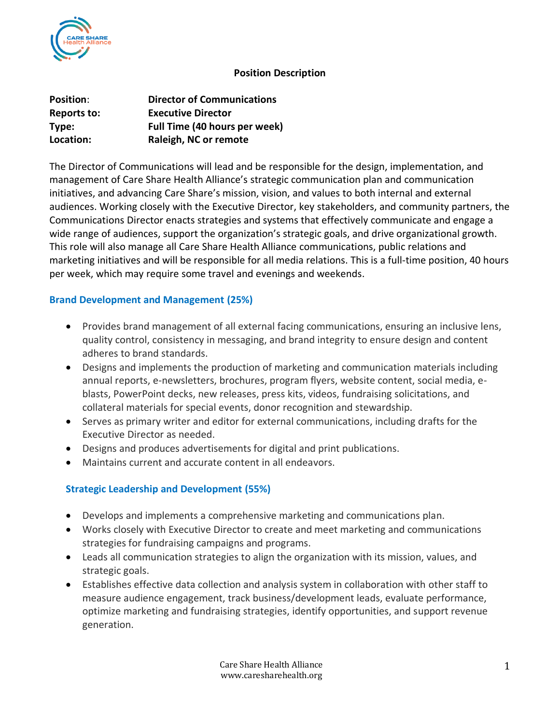

### **Position Description**

| <b>Position:</b>   | <b>Director of Communications</b> |
|--------------------|-----------------------------------|
| <b>Reports to:</b> | <b>Executive Director</b>         |
| Type:              | Full Time (40 hours per week)     |
| Location:          | Raleigh, NC or remote             |

The Director of Communications will lead and be responsible for the design, implementation, and management of Care Share Health Alliance's strategic communication plan and communication initiatives, and advancing Care Share's mission, vision, and values to both internal and external audiences. Working closely with the Executive Director, key stakeholders, and community partners, the Communications Director enacts strategies and systems that effectively communicate and engage a wide range of audiences, support the organization's strategic goals, and drive organizational growth. This role will also manage all Care Share Health Alliance communications, public relations and marketing initiatives and will be responsible for all media relations. This is a full-time position, 40 hours per week, which may require some travel and evenings and weekends.

# **Brand Development and Management (25%)**

- Provides brand management of all external facing communications, ensuring an inclusive lens, quality control, consistency in messaging, and brand integrity to ensure design and content adheres to brand standards.
- Designs and implements the production of marketing and communication materials including annual reports, e-newsletters, brochures, program flyers, website content, social media, eblasts, PowerPoint decks, new releases, press kits, videos, fundraising solicitations, and collateral materials for special events, donor recognition and stewardship.
- Serves as primary writer and editor for external communications, including drafts for the Executive Director as needed.
- Designs and produces advertisements for digital and print publications.
- Maintains current and accurate content in all endeavors.

# **Strategic Leadership and Development (55%)**

- Develops and implements a comprehensive marketing and communications plan.
- Works closely with Executive Director to create and meet marketing and communications strategies for fundraising campaigns and programs.
- Leads all communication strategies to align the organization with its mission, values, and strategic goals.
- Establishes effective data collection and analysis system in collaboration with other staff to measure audience engagement, track business/development leads, evaluate performance, optimize marketing and fundraising strategies, identify opportunities, and support revenue generation.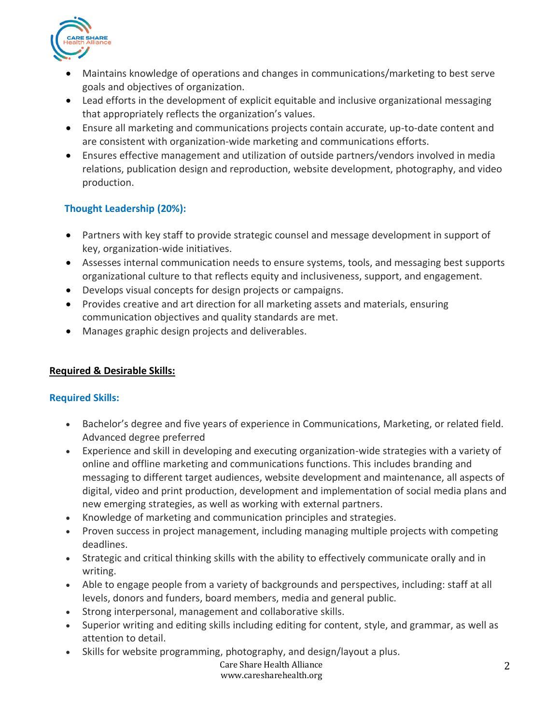

- Maintains knowledge of operations and changes in communications/marketing to best serve goals and objectives of organization.
- Lead efforts in the development of explicit equitable and inclusive organizational messaging that appropriately reflects the organization's values.
- Ensure all marketing and communications projects contain accurate, up-to-date content and are consistent with organization-wide marketing and communications efforts.
- Ensures effective management and utilization of outside partners/vendors involved in media relations, publication design and reproduction, website development, photography, and video production.

# **Thought Leadership (20%):**

- Partners with key staff to provide strategic counsel and message development in support of key, organization-wide initiatives.
- Assesses internal communication needs to ensure systems, tools, and messaging best supports organizational culture to that reflects equity and inclusiveness, support, and engagement.
- Develops visual concepts for design projects or campaigns.
- Provides creative and art direction for all marketing assets and materials, ensuring communication objectives and quality standards are met.
- Manages graphic design projects and deliverables.

# **Required & Desirable Skills:**

# **Required Skills:**

- Bachelor's degree and five years of experience in Communications, Marketing, or related field. Advanced degree preferred
- Experience and skill in developing and executing organization-wide strategies with a variety of online and offline marketing and communications functions. This includes branding and messaging to different target audiences, website development and maintenance, all aspects of digital, video and print production, development and implementation of social media plans and new emerging strategies, as well as working with external partners.
- Knowledge of marketing and communication principles and strategies.
- Proven success in project management, including managing multiple projects with competing deadlines.
- Strategic and critical thinking skills with the ability to effectively communicate orally and in writing.
- Able to engage people from a variety of backgrounds and perspectives, including: staff at all levels, donors and funders, board members, media and general public.
- Strong interpersonal, management and collaborative skills.
- Superior writing and editing skills including editing for content, style, and grammar, as well as attention to detail.
- Skills for website programming, photography, and design/layout a plus.

#### Care Share Health Alliance www.caresharehealth.org